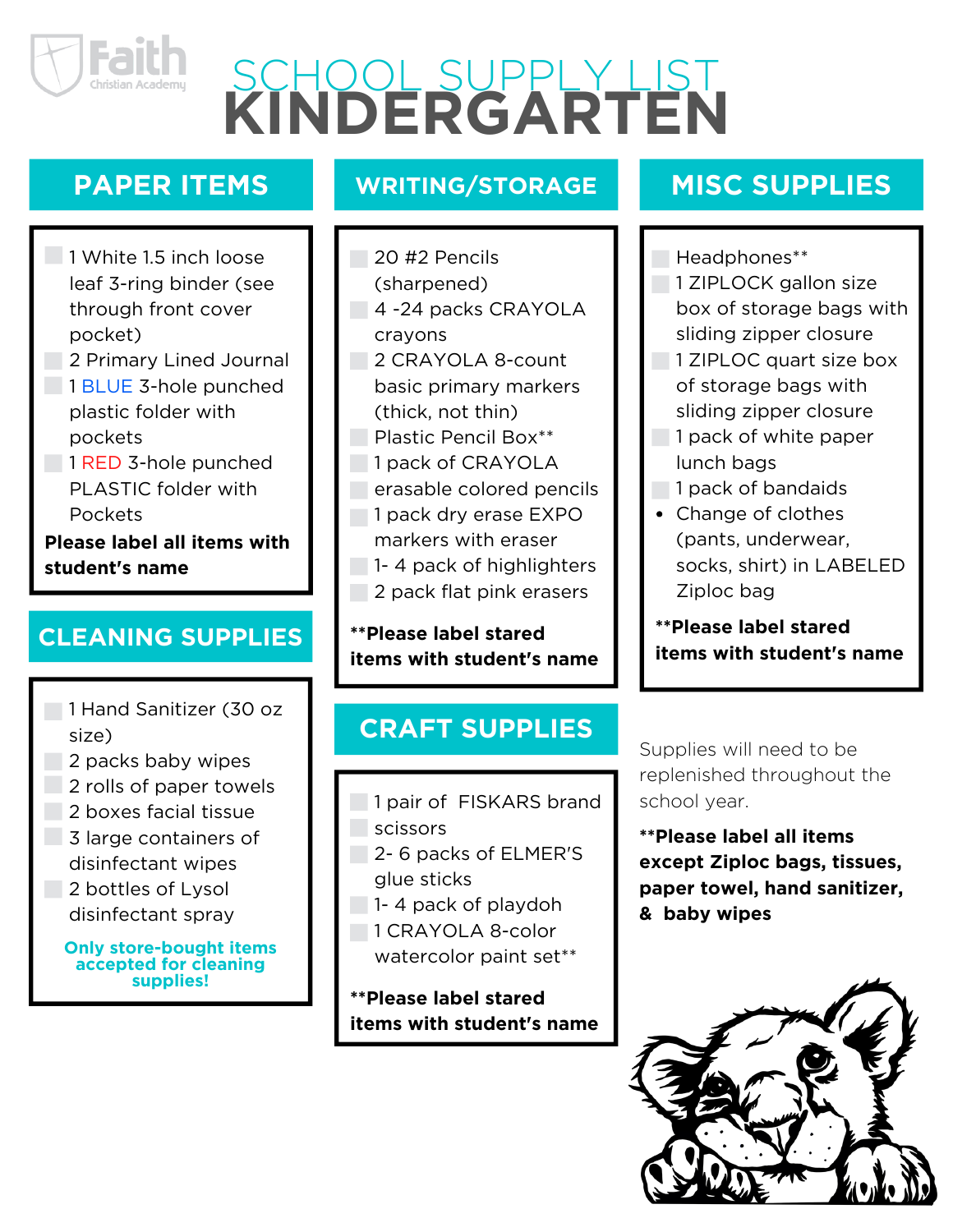

# **KINDERGARTEN** SCHOOL SUPPLY LIST

# **PAPER ITEMS**

- 1 White 1.5 inch loose leaf 3-ring binder (see through front cover pocket)
- **2 Primary Lined Journal**
- 1 BLUE 3-hole punched plastic folder with pockets
- 1 RED 3-hole punched PLASTIC folder with Pockets

**Please label all items with student's name**

#### **CLEANING SUPPLIES**

- 1 Hand Sanitizer (30 oz size)
- 2 packs baby wipes
- 2 rolls of paper towels
- 2 boxes facial tissue
- 3 large containers of disinfectant wipes
- 2 bottles of Lysol disinfectant spray

**Only store-bought items accepted for cleaning supplies!**

#### **WRITING/STORAGE**

- 20 #2 Pencils
	- (sharpened)
- 4 -24 packs CRAYOLA crayons
- 2 CRAYOLA 8-count basic primary markers
	- (thick, not thin)
- **Plastic Pencil Box\*\***
- **1** pack of CRAYOLA
	- erasable colored pencils
- 1 pack dry erase EXPO
	- markers with eraser
- 1-4 pack of highlighters
	- 2 pack flat pink erasers

#### **\*\*Please label stared items with student's name**

#### **CRAFT SUPPLIES**

- 1 pair of FISKARS brand **Scissors**
- 2-6 packs of ELMER'S glue sticks
- 1-4 pack of playdoh
- 1 CRAYOLA 8-color
- watercolor paint set\*\*

#### **\*\*Please label stared items with student's name**

### **MISC SUPPLIES**

Headphones\*\*

- 1 ZIPLOCK gallon size box of storage bags with sliding zipper closure
- 1 ZIPLOC quart size box of storage bags with sliding zipper closure
- 1 pack of white paper lunch bags
- 1 pack of bandaids
- Change of clothes (pants, underwear, socks, shirt) in LABELED Ziploc bag

**\*\*Please label stared items with student's name**

Supplies will need to be replenished throughout the school year.

**\*\*Please label all items except Ziploc bags, tissues, paper towel, hand sanitizer, & baby wipes**

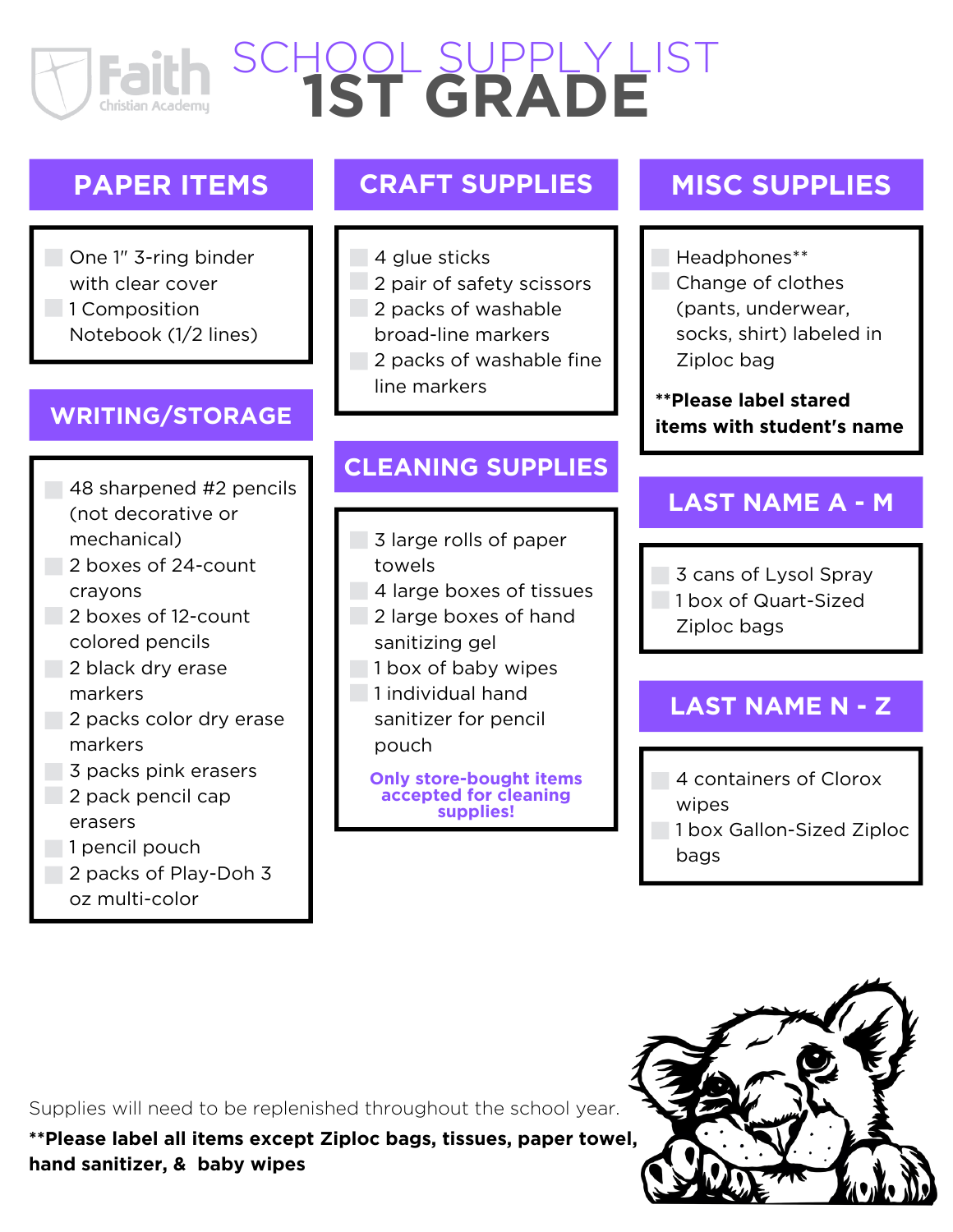# **1ST GRADE** SCHOOL SUPPLY LIST

#### **PAPER ITEMS**

One 1" 3-ring binder with clear cover 1 Composition Notebook (1/2 lines)

#### **WRITING/STORAGE**

- 48 sharpened #2 pencils (not decorative or mechanical)
- 2 boxes of 24-count crayons
- 2 boxes of 12-count colored pencils
- 2 black dry erase markers
- 2 packs color dry erase markers
- 3 packs pink erasers
- 2 pack pencil cap erasers
- $\Box$  1 pencil pouch
- 2 packs of Play-Doh 3
	- oz multi-color

#### **CRAFT SUPPLIES**

- 4 glue sticks
- 2 pair of safety scissors
- 2 packs of washable
	- broad-line markers
- 2 packs of washable fine line markers

#### **CLEANING SUPPLIES**

- 3 large rolls of paper towels
- 4 large boxes of tissues
- 2 large boxes of hand sanitizing gel
- 1 box of baby wipes
- 1 individual hand
	- sanitizer for pencil pouch

**Only store-bought items accepted for cleaning supplies!**

#### **MISC SUPPLIES**

Headphones\*\* Change of clothes

(pants, underwear, socks, shirt) labeled in Ziploc bag

**\*\*Please label stared items with student's name**

#### **LAST NAME A - M**

3 cans of Lysol Spray

- 1 box of Quart-Sized
- Ziploc bags

#### **LAST NAME N - Z**

- 4 containers of Clorox wipes
- **1 box Gallon-Sized Ziploc** bags

Supplies will need to be replenished throughout the school year.

**\*\*Please label all items except Ziploc bags, tissues, paper towel, hand sanitizer, & baby wipes**

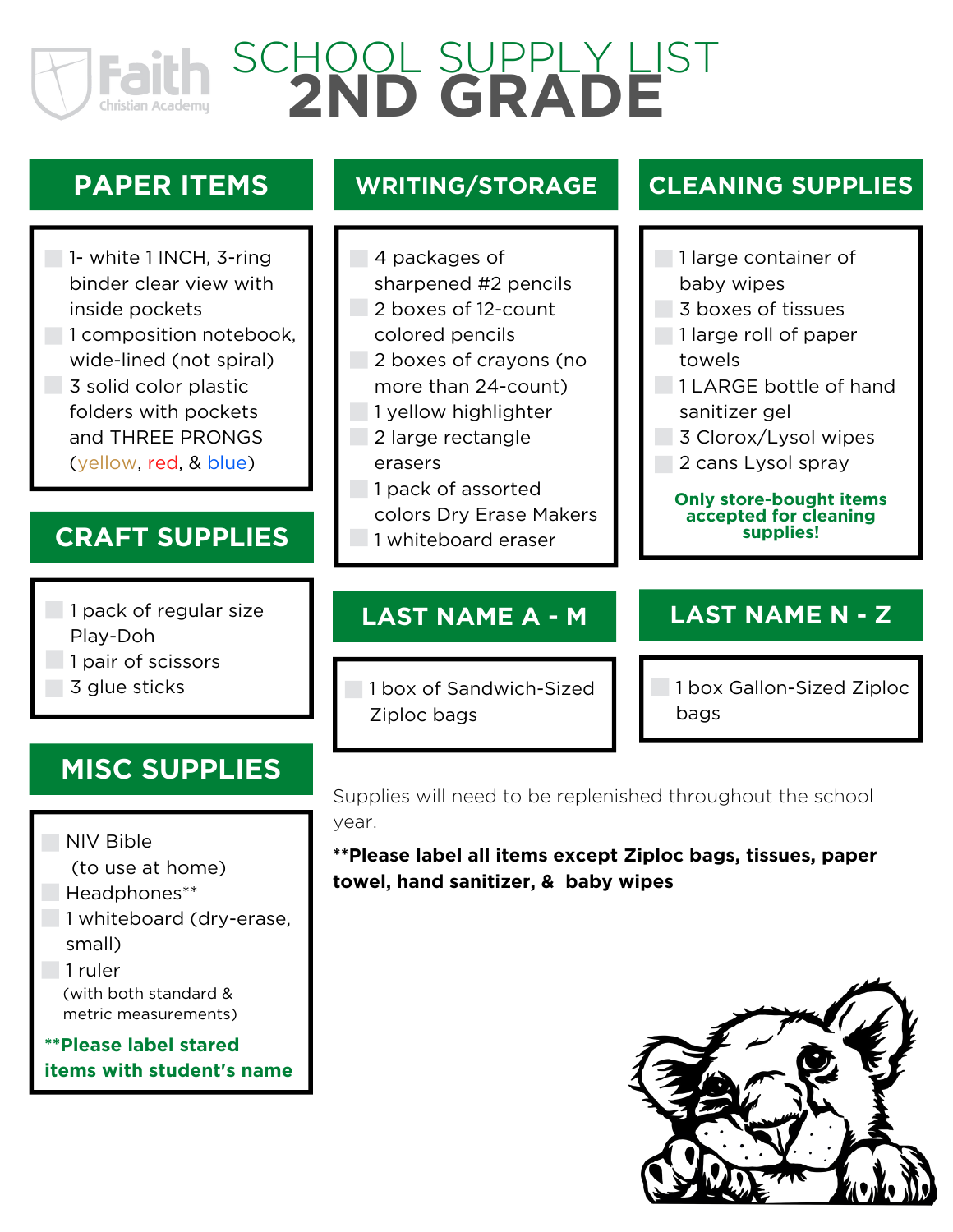# **2ND GRADE** SCHOOL SUPPLY LIST

# **PAPER ITEMS**

1- white 1 INCH, 3-ring binder clear view with inside pockets 1 composition notebook, wide-lined (not spiral) 3 solid color plastic folders with pockets and THREE PRONGS (yellow, red, & blue)

#### **CRAFT SUPPLIES** 1 whiteboard eraser

#### 1 pack of regular size

- Play-Doh
- 1 pair of scissors
- 3 glue sticks

# **MISC SUPPLIES**

#### NIV Bible

- (to use at home)
- Headphones\*\*
- 1 whiteboard (dry-erase,
	- small)
- 1 ruler
	- (with both standard & metric measurements)
- **\*\*Please label stared items with student's name**

#### **WRITING/STORAGE**

- 4 packages of
	- sharpened #2 pencils
- 2 boxes of 12-count
	- colored pencils
- 2 boxes of crayons (no more than 24-count)
- 1 yellow highlighter
- 2 large rectangle
	- erasers
- 1 pack of assorted
	- colors Dry Erase Makers
	-

#### **LAST NAME A - M**

1 box of Sandwich-Sized Ziploc bags

#### **CLEANING SUPPLIES**

- 1 large container of baby wipes
	-
- 3 boxes of tissues
- 1 large roll of paper towels
- 1 LARGE bottle of hand sanitizer gel
- 3 Clorox/Lysol wipes
- 2 cans Lysol spray

#### **Only store-bought items accepted for cleaning supplies!**

#### **LAST NAME N - Z**

**1 box Gallon-Sized Ziploc** bags

Supplies will need to be replenished throughout the school year.

**\*\*Please label all items except Ziploc bags, tissues, paper towel, hand sanitizer, & baby wipes**

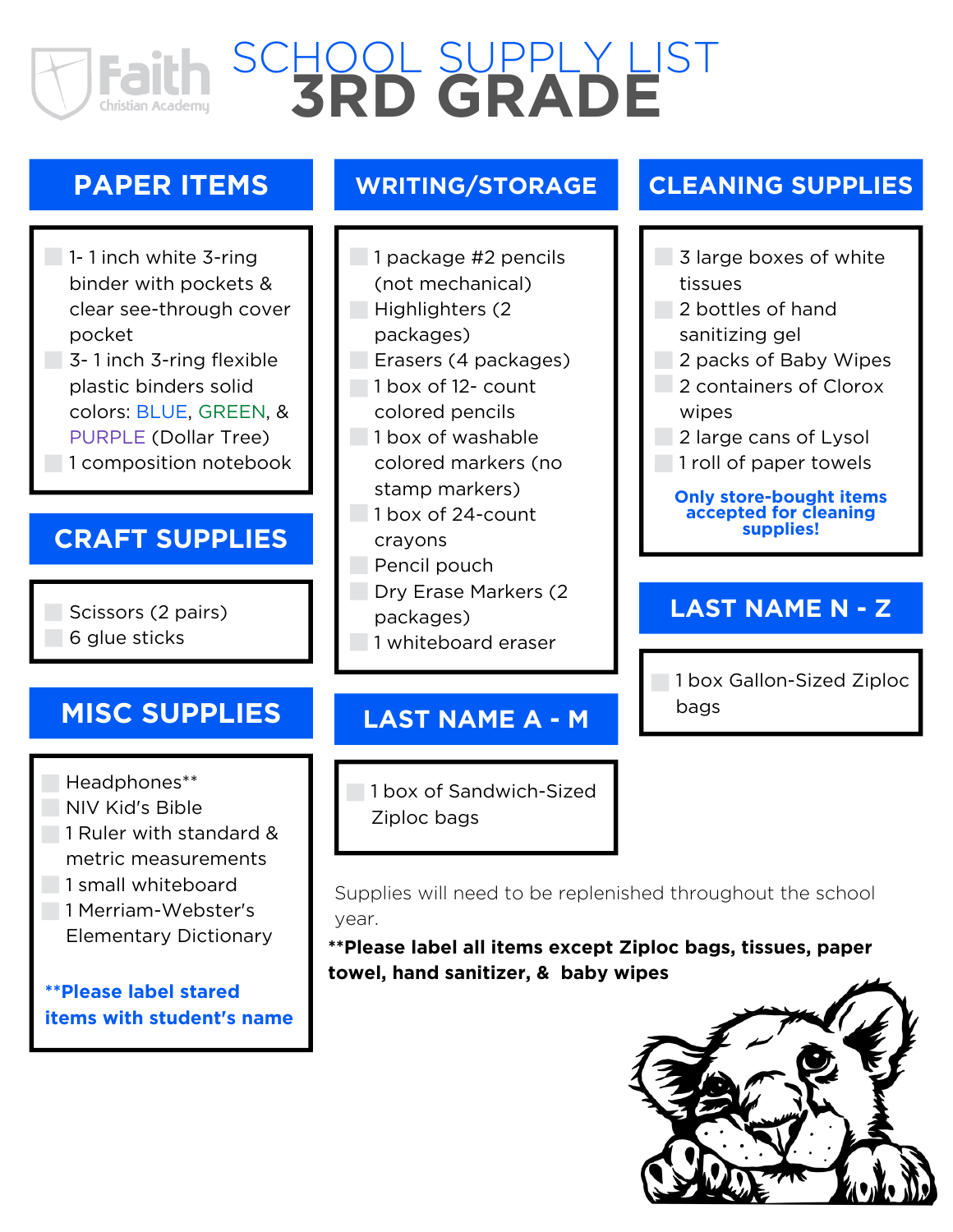# **3RD GRADE** SCHOOL SUPPLY LIST

### **PAPER ITEMS**

#### 1-1 inch white 3-ring binder with pockets & clear see-through cover pocket

3- 1 inch 3-ring flexible plastic binders solid colors: BLUE, GREEN, & PURPLE (Dollar Tree) 1 composition notebook

#### **CRAFT SUPPLIES**

Scissors (2 pairs) 6 glue sticks

# **MISC SUPPLIES**

Headphones\*\*

- NIV Kid's Bible
- 1 Ruler with standard &
	- metric measurements
- 1 small whiteboard
- **1 Merriam-Webster's** Elementary Dictionary

**\*\*Please label stared items with student's name**

#### **WRITING/STORAGE**

1 package #2 pencils (not mechanical) Highlighters (2) packages) Erasers (4 packages) 1 box of 12- count colored pencils 1 box of washable colored markers (no stamp markers) 1 box of 24-count crayons Pencil pouch

- **Dry Erase Markers (2)** 
	- packages)
- 1 whiteboard eraser

#### **LAST NAME A - M**

1 box of Sandwich-Sized Ziploc bags

Supplies will need to be replenished throughout the school year.

**\*\*Please label all items except Ziploc bags, tissues, paper towel, hand sanitizer, & baby wipes**



#### **CLEANING SUPPLIES**

- 3 large boxes of white tissues
- 2 bottles of hand sanitizing gel
- 2 packs of Baby Wipes 2 containers of Clorox
	- wipes
- 2 large cans of Lysol
- 1 roll of paper towels

**Only store-bought items accepted for cleaning supplies!**

#### **LAST NAME N - Z**

1 box Gallon-Sized Ziploc bags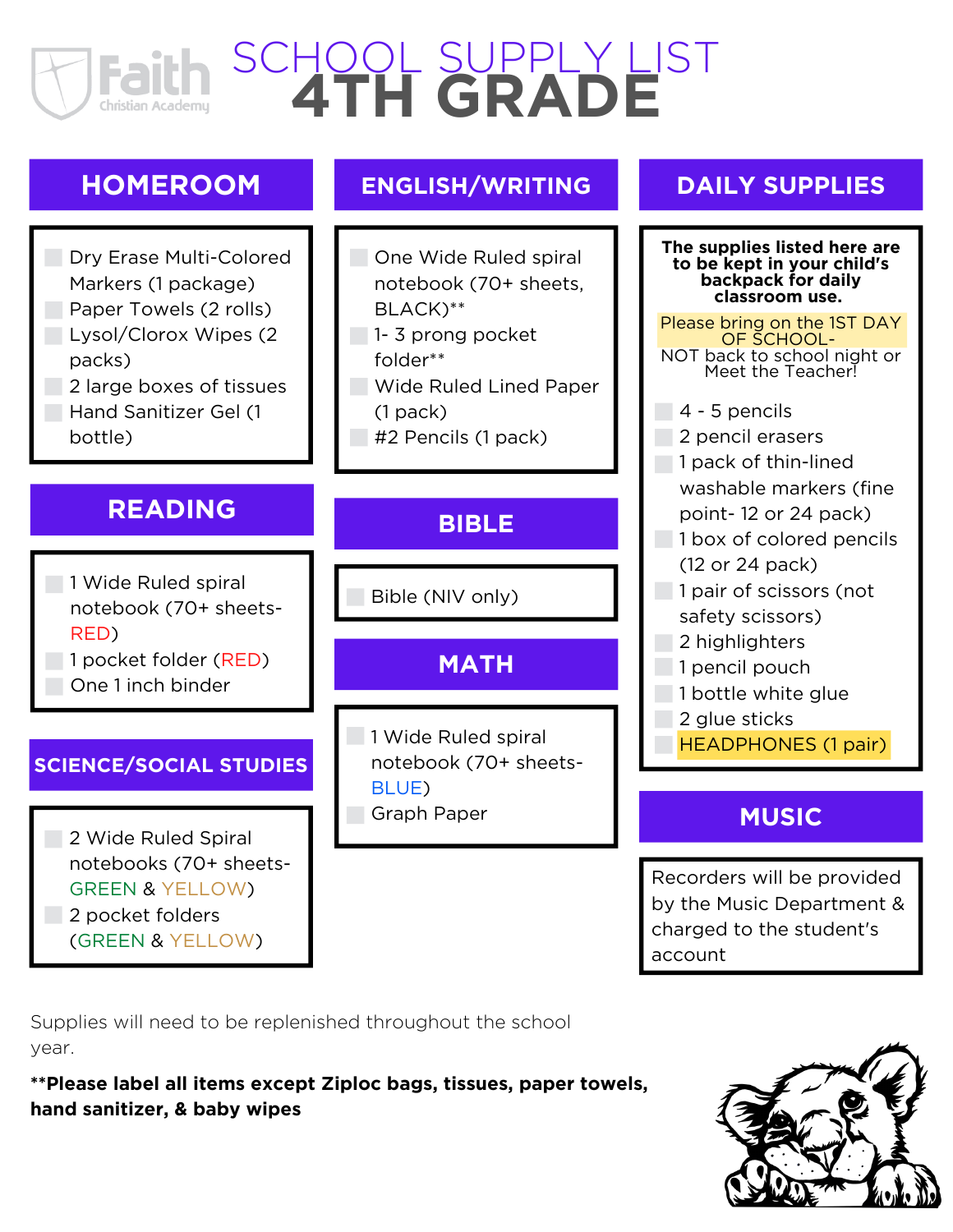# SCHOOL SUPPLY LIST **4TH GRADE** Christian Academu

# **HOMEROOM**



bottle)

### **READING**

1 Wide Ruled spiral notebook (70+ sheets-RED) 1 pocket folder (RED)

One 1 inch binder

#### **SCIENCE/SOCIAL STUDIES**

2 Wide Ruled Spiral notebooks (70+ sheets-GREEN & YELLOW) 2 pocket folders

(GREEN & YELLOW)

#### **ENGLISH/WRITING**

- **One Wide Ruled spiral** notebook (70+ sheets, BLACK)\*\*
- 1-3 prong pocket folder\*\*
- **Wide Ruled Lined Paper** (1 pack)
- #2 Pencils (1 pack)

#### **BIBLE**

Bible (NIV only)

#### **MATH**

1 Wide Ruled spiral notebook (70+ sheets-BLUE) Graph Paper **MUSIC** 

#### **DAILY SUPPLIES**

**The supplies listed here are to be kept in your child's backpack for daily classroom use.**

#### Please bring on the 1ST DAY OF SCHOOL-NOT back to school night or Meet the Teacher!

- $-4 5$  pencils
- 2 pencil erasers
- 1 pack of thin-lined
	- washable markers (fine
	- point- 12 or 24 pack)
- 1 box of colored pencils
	- (12 or 24 pack)
- 1 pair of scissors (not
	- safety scissors)
- 2 highlighters
- 1 pencil pouch
- 1 bottle white glue
	- 2 glue sticks
	- HEADPHONES (1 pair)

Recorders will be provided by the Music Department & charged to the student's account

Supplies will need to be replenished throughout the school year.

**\*\*Please label all items except Ziploc bags, tissues, paper towels, hand sanitizer, & baby wipes**